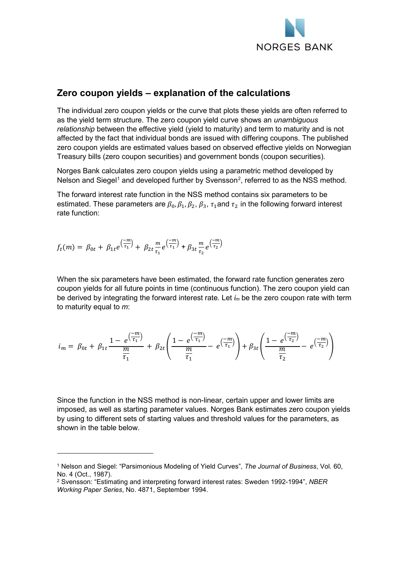

## **Zero coupon yields – explanation of the calculations**

The individual zero coupon yields or the curve that plots these yields are often referred to as the yield term structure. The zero coupon yield curve shows an *unambiguous relationship* between the effective yield (yield to maturity) and term to maturity and is not affected by the fact that individual bonds are issued with differing coupons. The published zero coupon yields are estimated values based on observed effective yields on Norwegian Treasury bills (zero coupon securities) and government bonds (coupon securities).

Norges Bank calculates zero coupon yields using a parametric method developed by Nelson and Siegel<sup>[1](#page-0-0)</sup> and developed further by Svensson<sup>[2](#page-0-1)</sup>, referred to as the NSS method.

The forward interest rate function in the NSS method contains six parameters to be estimated. These parameters are  $\beta_0$ ,  $\beta_1$ ,  $\beta_2$ ,  $\beta_3$ ,  $\tau_1$  and  $\tau_2$  in the following forward interest rate function:

$$
f_t(m) = \beta_{0t} + \beta_{1t} e^{\left(\frac{-m}{\tau_1}\right)} + \beta_{2t} \frac{m}{\tau_1} e^{\left(\frac{-m}{\tau_1}\right)} + \beta_{3t} \frac{m}{\tau_2} e^{\left(\frac{-m}{\tau_2}\right)}
$$

-

When the six parameters have been estimated, the forward rate function generates zero coupon yields for all future points in time (continuous function). The zero coupon yield can be derived by integrating the forward interest rate. Let *im* be the zero coupon rate with term to maturity equal to *m*:

$$
i_m = \beta_{0t} + \beta_{1t} \frac{1 - e^{\left(\frac{-m}{\tau_1}\right)}}{\frac{m}{\tau_1}} + \beta_{2t} \left( \frac{1 - e^{\left(\frac{-m}{\tau_1}\right)}}{\frac{m}{\tau_1}} - e^{\left(\frac{-m}{\tau_1}\right)} \right) + \beta_{3t} \left( \frac{1 - e^{\left(\frac{-m}{\tau_2}\right)}}{\frac{m}{\tau_2}} - e^{\left(\frac{-m}{\tau_2}\right)} \right)
$$

Since the function in the NSS method is non-linear, certain upper and lower limits are imposed, as well as starting parameter values. Norges Bank estimates zero coupon yields by using to different sets of starting values and threshold values for the parameters, as shown in the table below.

<span id="page-0-0"></span><sup>1</sup> Nelson and Siegel: "Parsimonious Modeling of Yield Curves", *The Journal of Business*, Vol. 60, No. 4 (Oct., 1987).

<span id="page-0-1"></span><sup>2</sup> Svensson: "Estimating and interpreting forward interest rates: Sweden 1992-1994", *NBER Working Paper Series*, No. 4871, September 1994.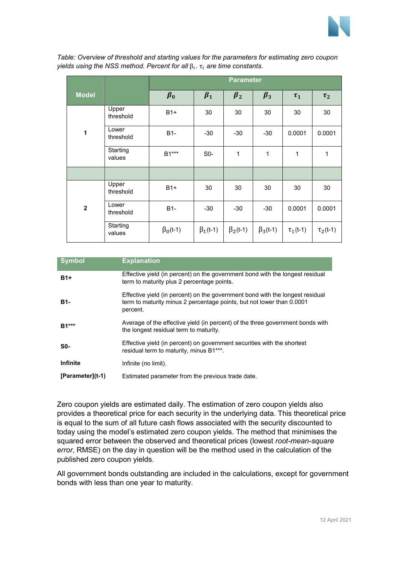

|                     |                    | <b>Parameter</b> |                 |                |                 |                |                |
|---------------------|--------------------|------------------|-----------------|----------------|-----------------|----------------|----------------|
| <b>Model</b>        |                    | $\beta_0$        | $\beta_1$       | $\beta_2$      | $\beta_3$       | $\tau_1$       | $\tau_2$       |
| $\ddot{\mathbf{1}}$ | Upper<br>threshold | $B1+$            | 30              | 30             | 30              | 30             | 30             |
|                     | Lower<br>threshold | $B1-$            | $-30$           | $-30$          | $-30$           | 0.0001         | 0.0001         |
|                     | Starting<br>values | $B1***$          | $S0-$           | 1              | 1               | 1              | 1              |
|                     |                    |                  |                 |                |                 |                |                |
| $\overline{2}$      | Upper<br>threshold | $B1+$            | 30              | 30             | 30              | 30             | 30             |
|                     | Lower<br>threshold | $B1-$            | $-30$           | $-30$          | $-30$           | 0.0001         | 0.0001         |
|                     | Starting<br>values | $\beta_0$ (t-1)  | $\beta_1$ (t-1) | $\beta_2(t-1)$ | $\beta_3$ (t-1) | $\tau_1$ (t-1) | $\tau_2$ (t-1) |

*Table: Overview of threshold and starting values for the parameters for estimating zero coupon yields using the NSS method. Percent for all*  $β<sub>i</sub>$ .  $τ<sub>i</sub>$  are time constants.

| <b>Symbol</b>      | <b>Explanation</b>                                                                                                                                                 |
|--------------------|--------------------------------------------------------------------------------------------------------------------------------------------------------------------|
| $B1+$              | Effective yield (in percent) on the government bond with the longest residual<br>term to maturity plus 2 percentage points.                                        |
| B1-                | Effective yield (in percent) on the government bond with the longest residual<br>term to maturity minus 2 percentage points, but not lower than 0.0001<br>percent. |
| $B1***$            | Average of the effective yield (in percent) of the three government bonds with<br>the longest residual term to maturity.                                           |
| S0-                | Effective yield (in percent) on government securities with the shortest<br>residual term to maturity, minus B1***.                                                 |
| <b>Infinite</b>    | Infinite (no limit).                                                                                                                                               |
| $[Parameter](t-1)$ | Estimated parameter from the previous trade date.                                                                                                                  |

Zero coupon yields are estimated daily. The estimation of zero coupon yields also provides a theoretical price for each security in the underlying data. This theoretical price is equal to the sum of all future cash flows associated with the security discounted to today using the model's estimated zero coupon yields. The method that minimises the squared error between the observed and theoretical prices (lowest *root-mean-square error*, RMSE) on the day in question will be the method used in the calculation of the published zero coupon yields.

All government bonds outstanding are included in the calculations, except for government bonds with less than one year to maturity.